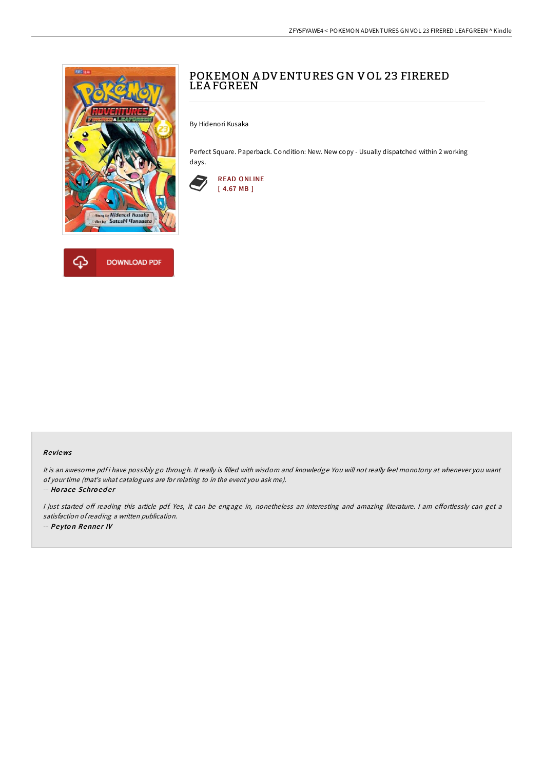



# POKEMON A DVENTURES GN V OL 23 FIRERED **LEAFGREEN**

By Hidenori Kusaka

Perfect Square. Paperback. Condition: New. New copy - Usually dispatched within 2 working days.



#### Re views

It is an awesome pdf i have possibly go through. It really is filled with wisdom and knowledge You will not really feel monotony at whenever you want of your time (that's what catalogues are for relating to in the event you ask me).

-- Ho race Schro ed e <sup>r</sup>

I just started off reading this article pdf. Yes, it can be engage in, nonetheless an interesting and amazing literature. I am effortlessly can get a satisfaction ofreading <sup>a</sup> written publication. -- Peyton Renner IV